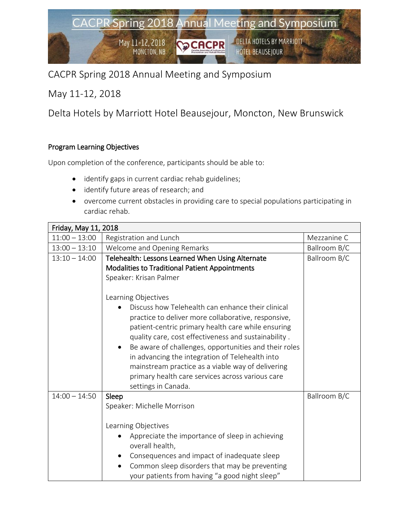## CACPR Spring 2018 Annual Meeting and Symposium

May 11-12, 2018

Delta Hotels by Marriott Hotel Beausejour, Moncton, New Brunswick

## Program Learning Objectives

Upon completion of the conference, participants should be able to:

- identify gaps in current cardiac rehab guidelines;
- identify future areas of research; and
- overcome current obstacles in providing care to special populations participating in cardiac rehab.

| Friday, May 11, 2018 |                                                                                                          |              |  |  |
|----------------------|----------------------------------------------------------------------------------------------------------|--------------|--|--|
| $11:00 - 13:00$      | Registration and Lunch                                                                                   | Mezzanine C  |  |  |
| $13:00 - 13:10$      | Welcome and Opening Remarks                                                                              | Ballroom B/C |  |  |
| $13:10 - 14:00$      | Telehealth: Lessons Learned When Using Alternate                                                         | Ballroom B/C |  |  |
|                      | <b>Modalities to Traditional Patient Appointments</b>                                                    |              |  |  |
|                      | Speaker: Krisan Palmer                                                                                   |              |  |  |
|                      |                                                                                                          |              |  |  |
|                      | Learning Objectives                                                                                      |              |  |  |
|                      | Discuss how Telehealth can enhance their clinical<br>practice to deliver more collaborative, responsive, |              |  |  |
|                      | patient-centric primary health care while ensuring                                                       |              |  |  |
|                      | quality care, cost effectiveness and sustainability.                                                     |              |  |  |
|                      | Be aware of challenges, opportunities and their roles                                                    |              |  |  |
|                      | in advancing the integration of Telehealth into                                                          |              |  |  |
|                      | mainstream practice as a viable way of delivering                                                        |              |  |  |
|                      | primary health care services across various care                                                         |              |  |  |
| $14:00 - 14:50$      | settings in Canada.                                                                                      |              |  |  |
|                      | Sleep                                                                                                    | Ballroom B/C |  |  |
|                      | Speaker: Michelle Morrison                                                                               |              |  |  |
|                      | Learning Objectives                                                                                      |              |  |  |
|                      | Appreciate the importance of sleep in achieving                                                          |              |  |  |
|                      | overall health,                                                                                          |              |  |  |
|                      | Consequences and impact of inadequate sleep                                                              |              |  |  |
|                      | Common sleep disorders that may be preventing<br>your patients from having "a good night sleep"          |              |  |  |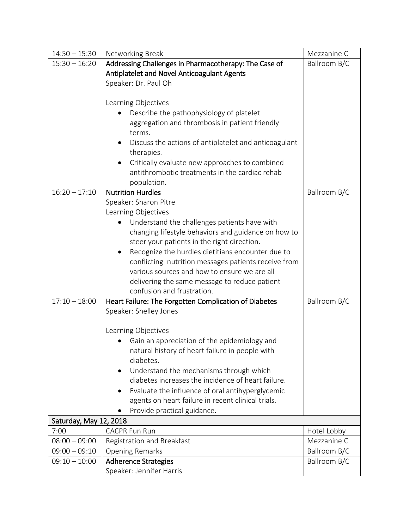| $14:50 - 15:30$        | Networking Break                                                                | Mezzanine C  |
|------------------------|---------------------------------------------------------------------------------|--------------|
| $15:30 - 16:20$        | Addressing Challenges in Pharmacotherapy: The Case of                           | Ballroom B/C |
|                        | Antiplatelet and Novel Anticoagulant Agents                                     |              |
|                        | Speaker: Dr. Paul Oh                                                            |              |
|                        |                                                                                 |              |
|                        | Learning Objectives                                                             |              |
|                        | Describe the pathophysiology of platelet                                        |              |
|                        | aggregation and thrombosis in patient friendly                                  |              |
|                        | terms.                                                                          |              |
|                        | Discuss the actions of antiplatelet and anticoagulant                           |              |
|                        | therapies.                                                                      |              |
|                        | Critically evaluate new approaches to combined                                  |              |
|                        | antithrombotic treatments in the cardiac rehab                                  |              |
|                        | population.                                                                     |              |
| $16:20 - 17:10$        | <b>Nutrition Hurdles</b>                                                        | Ballroom B/C |
|                        | Speaker: Sharon Pitre                                                           |              |
|                        | Learning Objectives                                                             |              |
|                        | Understand the challenges patients have with                                    |              |
|                        | changing lifestyle behaviors and guidance on how to                             |              |
|                        | steer your patients in the right direction.                                     |              |
|                        | Recognize the hurdles dietitians encounter due to                               |              |
|                        | conflicting nutrition messages patients receive from                            |              |
|                        | various sources and how to ensure we are all                                    |              |
|                        | delivering the same message to reduce patient<br>confusion and frustration.     |              |
| $17:10 - 18:00$        |                                                                                 | Ballroom B/C |
|                        | Heart Failure: The Forgotten Complication of Diabetes<br>Speaker: Shelley Jones |              |
|                        |                                                                                 |              |
|                        | Learning Objectives                                                             |              |
|                        | Gain an appreciation of the epidemiology and                                    |              |
|                        | natural history of heart failure in people with                                 |              |
|                        | diabetes.                                                                       |              |
|                        | Understand the mechanisms through which<br>$\bullet$                            |              |
|                        | diabetes increases the incidence of heart failure.                              |              |
|                        | Evaluate the influence of oral antihyperglycemic<br>$\bullet$                   |              |
|                        | agents on heart failure in recent clinical trials.                              |              |
|                        | Provide practical guidance.                                                     |              |
| Saturday, May 12, 2018 |                                                                                 |              |
| 7:00                   | <b>CACPR Fun Run</b>                                                            | Hotel Lobby  |
| $08:00 - 09:00$        | Registration and Breakfast                                                      | Mezzanine C  |
| $09:00 - 09:10$        | <b>Opening Remarks</b>                                                          | Ballroom B/C |
| $09:10 - 10:00$        | <b>Adherence Strategies</b>                                                     | Ballroom B/C |
|                        | Speaker: Jennifer Harris                                                        |              |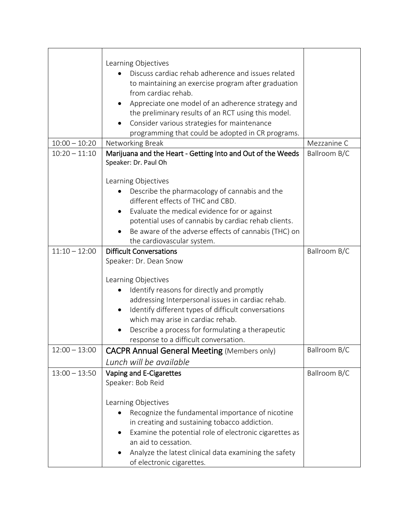|                 | Learning Objectives                                         |              |
|-----------------|-------------------------------------------------------------|--------------|
|                 | Discuss cardiac rehab adherence and issues related          |              |
|                 | to maintaining an exercise program after graduation         |              |
|                 | from cardiac rehab.                                         |              |
|                 | Appreciate one model of an adherence strategy and           |              |
|                 | the preliminary results of an RCT using this model.         |              |
|                 | Consider various strategies for maintenance<br>$\bullet$    |              |
|                 | programming that could be adopted in CR programs.           |              |
| $10:00 - 10:20$ | Networking Break                                            | Mezzanine C  |
| $10:20 - 11:10$ | Marijuana and the Heart - Getting Into and Out of the Weeds | Ballroom B/C |
|                 | Speaker: Dr. Paul Oh                                        |              |
|                 | Learning Objectives                                         |              |
|                 | Describe the pharmacology of cannabis and the               |              |
|                 | different effects of THC and CBD.                           |              |
|                 | Evaluate the medical evidence for or against<br>$\bullet$   |              |
|                 | potential uses of cannabis by cardiac rehab clients.        |              |
|                 | Be aware of the adverse effects of cannabis (THC) on        |              |
|                 | the cardiovascular system.                                  |              |
| $11:10 - 12:00$ | <b>Difficult Conversations</b>                              | Ballroom B/C |
|                 | Speaker: Dr. Dean Snow                                      |              |
|                 |                                                             |              |
|                 | Learning Objectives                                         |              |
|                 | Identify reasons for directly and promptly                  |              |
|                 | addressing Interpersonal issues in cardiac rehab.           |              |
|                 | Identify different types of difficult conversations         |              |
|                 | which may arise in cardiac rehab.                           |              |
|                 | Describe a process for formulating a therapeutic            |              |
|                 | response to a difficult conversation.                       |              |
| $12:00 - 13:00$ | <b>CACPR Annual General Meeting (Members only)</b>          | Ballroom B/C |
|                 | Lunch will be available                                     |              |
| $13:00 - 13:50$ | Vaping and E-Cigarettes                                     | Ballroom B/C |
|                 | Speaker: Bob Reid                                           |              |
|                 |                                                             |              |
|                 | Learning Objectives                                         |              |
|                 | Recognize the fundamental importance of nicotine            |              |
|                 | in creating and sustaining tobacco addiction.               |              |
|                 | Examine the potential role of electronic cigarettes as      |              |
|                 | an aid to cessation.                                        |              |
|                 | Analyze the latest clinical data examining the safety       |              |
|                 | of electronic cigarettes.                                   |              |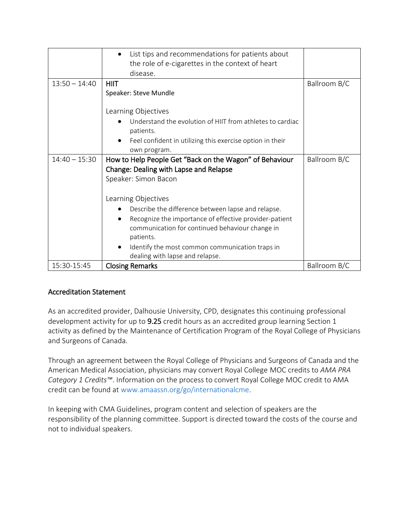|                 | List tips and recommendations for patients about          |              |
|-----------------|-----------------------------------------------------------|--------------|
|                 | the role of e-cigarettes in the context of heart          |              |
|                 | disease.                                                  |              |
| $13:50 - 14:40$ | <b>HIIT</b>                                               | Ballroom B/C |
|                 | Speaker: Steve Mundle                                     |              |
|                 |                                                           |              |
|                 | Learning Objectives                                       |              |
|                 | Understand the evolution of HIIT from athletes to cardiac |              |
|                 | patients.                                                 |              |
|                 | Feel confident in utilizing this exercise option in their |              |
|                 | own program.                                              |              |
| $14:40 - 15:30$ | How to Help People Get "Back on the Wagon" of Behaviour   | Ballroom B/C |
|                 | Change: Dealing with Lapse and Relapse                    |              |
|                 | Speaker: Simon Bacon                                      |              |
|                 |                                                           |              |
|                 | Learning Objectives                                       |              |
|                 | Describe the difference between lapse and relapse.        |              |
|                 | Recognize the importance of effective provider-patient    |              |
|                 | communication for continued behaviour change in           |              |
|                 | patients.                                                 |              |
|                 | Identify the most common communication traps in           |              |
|                 | dealing with lapse and relapse.                           |              |
| 15:30-15:45     | <b>Closing Remarks</b>                                    | Ballroom B/C |

## Accreditation Statement

As an accredited provider, Dalhousie University, CPD, designates this continuing professional development activity for up to 9.25 credit hours as an accredited group learning Section 1 activity as defined by the Maintenance of Certification Program of the Royal College of Physicians and Surgeons of Canada.

Through an agreement between the Royal College of Physicians and Surgeons of Canada and the American Medical Association, physicians may convert Royal College MOC credits to *AMA PRA Category 1 Credits™*. Information on the process to convert Royal College MOC credit to AMA credit can be found at www.amaassn.org/go/internationalcme.

In keeping with CMA Guidelines, program content and selection of speakers are the responsibility of the planning committee. Support is directed toward the costs of the course and not to individual speakers.